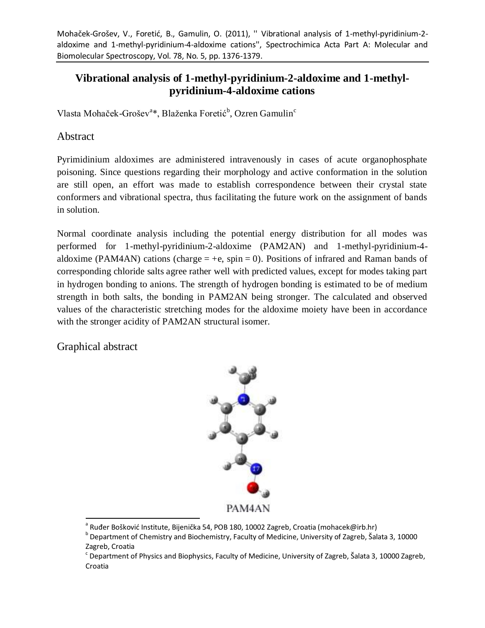# **Vibrational analysis of 1-methyl-pyridinium-2-aldoxime and 1-methylpyridinium-4-aldoxime cations**

Vlasta Mohaček-Grošev<sup>a</sup>\*, Blaženka Foretić<sup>b</sup>, Ozren Gamulin<sup>c</sup>

## Abstract

Pyrimidinium aldoximes are administered intravenously in cases of acute organophosphate poisoning. Since questions regarding their morphology and active conformation in the solution are still open, an effort was made to establish correspondence between their crystal state conformers and vibrational spectra, thus facilitating the future work on the assignment of bands in solution.

Normal coordinate analysis including the potential energy distribution for all modes was performed for 1-methyl-pyridinium-2-aldoxime (PAM2AN) and 1-methyl-pyridinium-4 aldoxime (PAM4AN) cations (charge  $= +e$ , spin  $= 0$ ). Positions of infrared and Raman bands of corresponding chloride salts agree rather well with predicted values, except for modes taking part in hydrogen bonding to anions. The strength of hydrogen bonding is estimated to be of medium strength in both salts, the bonding in PAM2AN being stronger. The calculated and observed values of the characteristic stretching modes for the aldoxime moiety have been in accordance with the stronger acidity of PAM2AN structural isomer.

Graphical abstract



 $\overline{a}$  $^{\rm a}$  Ruđer Bošković Institute, Bijenička 54, POB 180, 10002 Zagreb, Croatia (mohacek@irb.hr)

b Department of Chemistry and Biochemistry, Faculty of Medicine, University of Zagreb, Šalata 3, 10000 Zagreb, Croatia

 $\cdot$  Department of Physics and Biophysics, Faculty of Medicine, University of Zagreb, Šalata 3, 10000 Zagreb, Croatia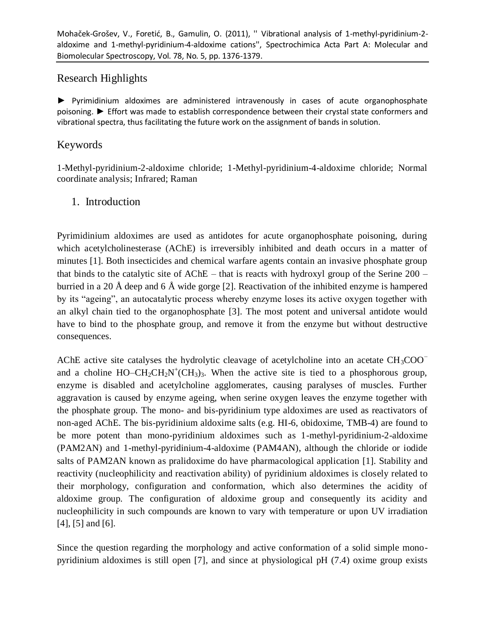# Research Highlights

► Pyrimidinium aldoximes are administered intravenously in cases of acute organophosphate poisoning. ► Effort was made to establish correspondence between their crystal state conformers and vibrational spectra, thus facilitating the future work on the assignment of bands in solution.

## Keywords

1-Methyl-pyridinium-2-aldoxime chloride; 1-Methyl-pyridinium-4-aldoxime chloride; Normal coordinate analysis; Infrared; Raman

## 1. Introduction

Pyrimidinium aldoximes are used as antidotes for acute organophosphate poisoning, during which acetylcholinesterase (AChE) is irreversibly inhibited and death occurs in a matter of minutes [1]. Both insecticides and chemical warfare agents contain an invasive phosphate group that binds to the catalytic site of AChE – that is reacts with hydroxyl group of the Serine 200 – burried in a 20 Å deep and 6 Å wide gorge [2]. Reactivation of the inhibited enzyme is hampered by its "ageing", an autocatalytic process whereby enzyme loses its active oxygen together with an alkyl chain tied to the organophosphate [3]. The most potent and universal antidote would have to bind to the phosphate group, and remove it from the enzyme but without destructive consequences.

AChE active site catalyses the hydrolytic cleavage of acetylcholine into an acetate  $CH_3COO^$ and a choline  $HO - CH_2CH_2N^+(CH_3)_3$ . When the active site is tied to a phosphorous group, enzyme is disabled and acetylcholine agglomerates, causing paralyses of muscles. Further aggravation is caused by enzyme ageing, when serine oxygen leaves the enzyme together with the phosphate group. The mono- and bis-pyridinium type aldoximes are used as reactivators of non-aged AChE. The bis-pyridinium aldoxime salts (e.g. HI-6, obidoxime, TMB-4) are found to be more potent than mono-pyridinium aldoximes such as 1-methyl-pyridinium-2-aldoxime (PAM2AN) and 1-methyl-pyridinium-4-aldoxime (PAM4AN), although the chloride or iodide salts of PAM2AN known as pralidoxime do have pharmacological application [1]. Stability and reactivity (nucleophilicity and reactivation ability) of pyridinium aldoximes is closely related to their morphology, configuration and conformation, which also determines the acidity of aldoxime group. The configuration of aldoxime group and consequently its acidity and nucleophilicity in such compounds are known to vary with temperature or upon UV irradiation [4], [5] and [6].

Since the question regarding the morphology and active conformation of a solid simple monopyridinium aldoximes is still open [7], and since at physiological pH (7.4) oxime group exists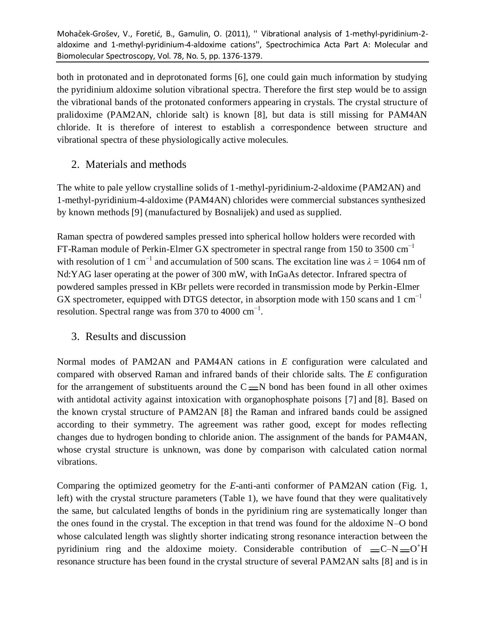both in protonated and in deprotonated forms [6], one could gain much information by studying the pyridinium aldoxime solution vibrational spectra. Therefore the first step would be to assign the vibrational bands of the protonated conformers appearing in crystals. The crystal structure of pralidoxime (PAM2AN, chloride salt) is known [8], but data is still missing for PAM4AN chloride. It is therefore of interest to establish a correspondence between structure and vibrational spectra of these physiologically active molecules.

# 2. Materials and methods

The white to pale yellow crystalline solids of 1-methyl-pyridinium-2-aldoxime (PAM2AN) and 1-methyl-pyridinium-4-aldoxime (PAM4AN) chlorides were commercial substances synthesized by known methods [9] (manufactured by Bosnalijek) and used as supplied.

Raman spectra of powdered samples pressed into spherical hollow holders were recorded with FT-Raman module of Perkin-Elmer GX spectrometer in spectral range from 150 to 3500  $cm^{-1}$ with resolution of 1 cm<sup>-1</sup> and accumulation of 500 scans. The excitation line was  $\lambda = 1064$  nm of Nd:YAG laser operating at the power of 300 mW, with InGaAs detector. Infrared spectra of powdered samples pressed in KBr pellets were recorded in transmission mode by Perkin-Elmer GX spectrometer, equipped with DTGS detector, in absorption mode with 150 scans and 1 cm<sup>-1</sup> resolution. Spectral range was from 370 to 4000  $\text{cm}^{-1}$ .

# 3. Results and discussion

Normal modes of PAM2AN and PAM4AN cations in *E* configuration were calculated and compared with observed Raman and infrared bands of their chloride salts. The *E* configuration for the arrangement of substituents around the  $C = N$  bond has been found in all other oximes with antidotal activity against intoxication with organophosphate poisons [7] and [8]. Based on the known crystal structure of PAM2AN [8] the Raman and infrared bands could be assigned according to their symmetry. The agreement was rather good, except for modes reflecting changes due to hydrogen bonding to chloride anion. The assignment of the bands for PAM4AN, whose crystal structure is unknown, was done by comparison with calculated cation normal vibrations.

Comparing the optimized geometry for the *E*-anti-anti conformer of PAM2AN cation (Fig. 1, left) with the crystal structure parameters (Table 1), we have found that they were qualitatively the same, but calculated lengths of bonds in the pyridinium ring are systematically longer than the ones found in the crystal. The exception in that trend was found for the aldoxime N–O bond whose calculated length was slightly shorter indicating strong resonance interaction between the pyridinium ring and the aldoxime moiety. Considerable contribution of  $= C-N = 0<sup>+</sup>H$ resonance structure has been found in the crystal structure of several PAM2AN salts [8] and is in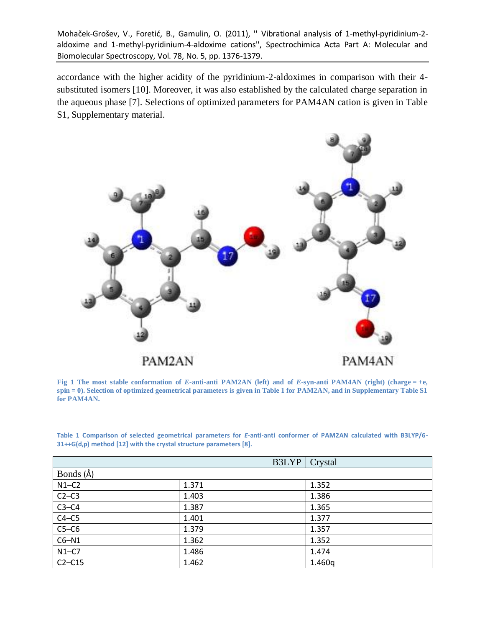accordance with the higher acidity of the pyridinium-2-aldoximes in comparison with their 4 substituted isomers [10]. Moreover, it was also established by the calculated charge separation in the aqueous phase [7]. Selections of optimized parameters for PAM4AN cation is given in Table S1, Supplementary material.



**Fig 1** The most stable conformation of *E*-anti-anti PAM2AN (left) and of *E*-syn-anti PAM4AN (right) (charge  $= +e$ , **spin = 0). Selection of optimized geometrical parameters is given in Table 1 for PAM2AN, and in Supplementary Table S1 for PAM4AN.**

**Table 1 Comparison of selected geometrical parameters for** *E***-anti-anti conformer of PAM2AN calculated with B3LYP/6- 31++G(d,p) method [12] with the crystal structure parameters [8].**

|           | B3LYP | Crystal |
|-----------|-------|---------|
| Bonds (Å) |       |         |
| $N1-C2$   | 1.371 | 1.352   |
| $C2-C3$   | 1.403 | 1.386   |
| $C3-C4$   | 1.387 | 1.365   |
| $C4-C5$   | 1.401 | 1.377   |
| $C5-C6$   | 1.379 | 1.357   |
| $C6-N1$   | 1.362 | 1.352   |
| $N1-C7$   | 1.486 | 1.474   |
| $C2-C15$  | 1.462 | 1.460q  |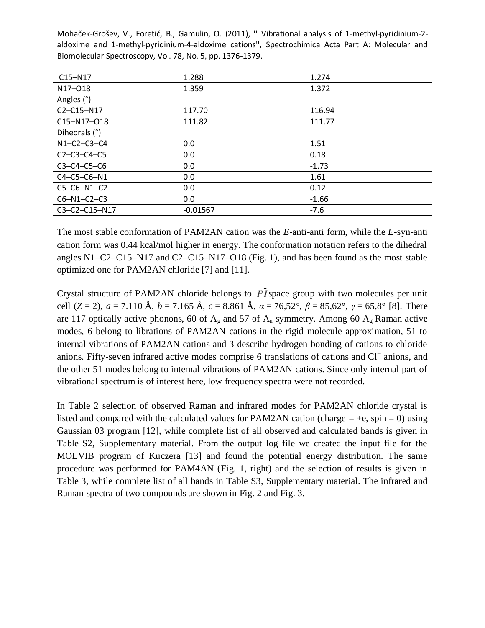| $C15-N17$           | 1.288      | 1.274   |  |  |  |
|---------------------|------------|---------|--|--|--|
| N17-018             | 1.359      | 1.372   |  |  |  |
| Angles (°)          |            |         |  |  |  |
| C2-C15-N17          | 117.70     | 116.94  |  |  |  |
| C15-N17-O18         | 111.82     | 111.77  |  |  |  |
| Dihedrals (°)       |            |         |  |  |  |
| $N1 - C2 - C3 - C4$ | 0.0        | 1.51    |  |  |  |
| $C2 - C3 - C4 - C5$ | 0.0        | 0.18    |  |  |  |
| $C3-C4-C5-C6$       | 0.0        | $-1.73$ |  |  |  |
| $C4 - C5 - C6 - N1$ | 0.0        | 1.61    |  |  |  |
| C5-C6-N1-C2         | 0.0        | 0.12    |  |  |  |
| $C6 - N1 - C2 - C3$ | 0.0        | $-1.66$ |  |  |  |
| C3-C2-C15-N17       | $-0.01567$ | $-7.6$  |  |  |  |

The most stable conformation of PAM2AN cation was the *E*-anti-anti form, while the *E*-syn-anti cation form was 0.44 kcal/mol higher in energy. The conformation notation refers to the dihedral angles N1–C2–C15–N17 and C2–C15–N17–O18 (Fig. 1), and has been found as the most stable optimized one for PAM2AN chloride [7] and [11].

Crystal structure of PAM2AN chloride belongs to  $\overline{PI}$  space group with two molecules per unit cell (*Z* = 2), *a* = 7.110 Å, *b* = 7.165 Å, *c* = 8.861 Å,  $\alpha$  = 76,52°,  $\beta$  = 85,62°,  $\gamma$  = 65,8° [8]. There are 117 optically active phonons, 60 of  $A_g$  and 57 of  $A_u$  symmetry. Among 60  $A_g$  Raman active modes, 6 belong to librations of PAM2AN cations in the rigid molecule approximation, 51 to internal vibrations of PAM2AN cations and 3 describe hydrogen bonding of cations to chloride anions. Fifty-seven infrared active modes comprise 6 translations of cations and Cl<sup>−</sup> anions, and the other 51 modes belong to internal vibrations of PAM2AN cations. Since only internal part of vibrational spectrum is of interest here, low frequency spectra were not recorded.

In Table 2 selection of observed Raman and infrared modes for PAM2AN chloride crystal is listed and compared with the calculated values for PAM2AN cation (charge  $= +e$ , spin  $= 0$ ) using Gaussian 03 program [12], while complete list of all observed and calculated bands is given in Table S2, Supplementary material. From the output log file we created the input file for the MOLVIB program of Kuczera [13] and found the potential energy distribution. The same procedure was performed for PAM4AN (Fig. 1, right) and the selection of results is given in Table 3, while complete list of all bands in Table S3, Supplementary material. The infrared and Raman spectra of two compounds are shown in Fig. 2 and Fig. 3.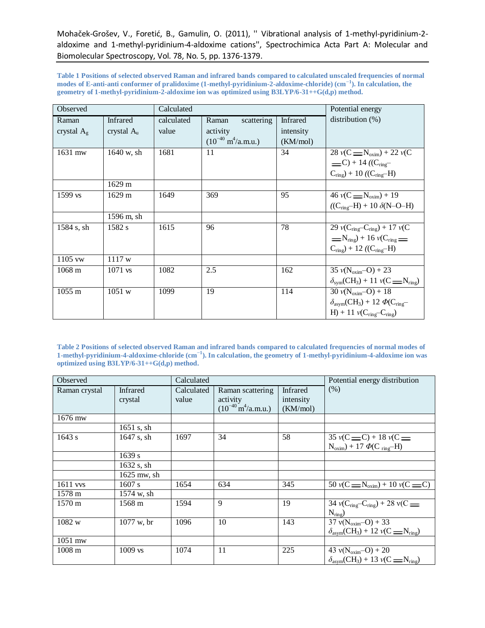**Table 1 Positions of selected observed Raman and infrared bands compared to calculated unscaled frequencies of normal modes of E-anti-anti conformer of pralidoxime (1-methyl-pyridinium-2-aldoxime-chloride) (cm−1 ). In calculation, the geometry of 1-methyl-pyridinium-2-aldoxime ion was optimized using B3LYP/6-31++G(d,p) method.**

| Observed         |                  | Calculated |                                        |           | Potential energy                                        |
|------------------|------------------|------------|----------------------------------------|-----------|---------------------------------------------------------|
| Raman            | <b>Infrared</b>  | calculated | Raman<br>scattering                    | Infrared  | distribution $(\%)$                                     |
| crystal $A_g$    | crystal $A_u$    | value      | activity                               | intensity |                                                         |
|                  |                  |            | $(10^{-40} \text{ m}^4/\text{a.m.u.})$ | (KM/mol)  |                                                         |
| 1631 mw          | 1640 w, sh       | 1681       | 11                                     | 34        | $28 \text{ } v(C = N_{\text{oxim}}) + 22 \text{ } v(C)$ |
|                  |                  |            |                                        |           | $=C$ ) + 14 (( $C_{\text{ring}}$                        |
|                  |                  |            |                                        |           | $C_{ring}$ + 10 (( $C_{ring}$ –H)                       |
|                  | 1629 m           |            |                                        |           |                                                         |
| 1599 vs          | $1629 \text{ m}$ | 1649       | 369                                    | 95        | $46 \text{ } v(C \equiv N_{oxim}) + 19$                 |
|                  |                  |            |                                        |           | $((C_{ring}-H) + 10 \delta(N-O-H))$                     |
|                  | 1596 m, sh       |            |                                        |           |                                                         |
| 1584 s, sh       | 1582 s           | 1615       | 96                                     | 78        | 29 $v(C_{ring} - C_{ring}) + 17 v(C)$                   |
|                  |                  |            |                                        |           | $=$ N <sub>ring</sub> $+$ 16 $v(C_{\text{ring}}$        |
|                  |                  |            |                                        |           | $C_{ring}$ ) + 12 (( $C_{ring}$ –H)                     |
| 1105 vw          | 1117 w           |            |                                        |           |                                                         |
| $1068$ m         | $1071$ vs        | 1082       | 2.5                                    | 162       | $35 v(N_{\text{oxim}}-O) + 23$                          |
|                  |                  |            |                                        |           | $\delta_{sym}(CH_3) + 11 \nu(C = N_{ring})$             |
| $1055 \text{ m}$ | 1051 w           | 1099       | 19                                     | 114       | $30 v(N_{\text{oxim}}-O) + 18$                          |
|                  |                  |            |                                        |           | $\delta_{\text{asym}}(CH_3) + 12 \Phi(C_{\text{ring}})$ |
|                  |                  |            |                                        |           | $H$ ) + 11 $v(C_{ring}-C_{ring})$                       |

**Table 2 Positions of selected observed Raman and infrared bands compared to calculated frequencies of normal modes of 1-methyl-pyridinium-4-aldoxime-chloride (cm−1 ). In calculation, the geometry of 1-methyl-pyridinium-4-aldoxime ion was optimized using B3LYP/6-31++G(d,p) method.**

| Observed          |                            | Calculated          |                                        | Potential energy distribution |                                                                             |
|-------------------|----------------------------|---------------------|----------------------------------------|-------------------------------|-----------------------------------------------------------------------------|
| Raman crystal     | <b>Infrared</b><br>crystal | Calculated<br>value | Raman scattering<br>activity           | Infrared<br>intensity         | (% )                                                                        |
|                   |                            |                     | $(10^{-40} \text{ m}^4/\text{a.m.u.})$ | (KM/mol)                      |                                                                             |
| 1676 mw           |                            |                     |                                        |                               |                                                                             |
|                   | 1651 s, sh                 |                     |                                        |                               |                                                                             |
| 1643 s            | 1647 s, sh                 | 1697                | 34                                     | 58                            | $35 \text{ } v(C = C) + 18 \text{ } v(C = C)$                               |
|                   |                            |                     |                                        |                               | $N_{\text{oxim}}$ ) + 17 $\Phi$ (C ring-H)                                  |
|                   | 1639 s                     |                     |                                        |                               |                                                                             |
|                   | 1632 s, sh                 |                     |                                        |                               |                                                                             |
|                   | 1625 mw, sh                |                     |                                        |                               |                                                                             |
| $1611$ vvs        | 1607 s                     | 1654                | 634                                    | 345                           | 50 $v(C = N_{\text{oxim}}) + 10 v(C = C)$                                   |
| 1578 m            | 1574 w, sh                 |                     |                                        |                               |                                                                             |
| 1570 m            | 1568 m                     | 1594                | 9                                      | 19                            | 34 $v(C_{ring} - C_{ring}) + 28 v(C)$                                       |
|                   |                            |                     |                                        |                               | $N_{ring}$                                                                  |
| 1082 w            | $1077$ w, br               | 1096                | 10                                     | 143                           | $37 \text{ v}(\text{N}_{\text{oxim}} - \text{O}) + 33$                      |
|                   |                            |                     |                                        |                               | $\delta_{\text{asvm}}(CH_3) + 12 \nu(C \underline{\text{N}}_{\text{ring}})$ |
| 1051 mw           |                            |                     |                                        |                               |                                                                             |
| 1008 <sub>m</sub> | $1009$ vs                  | 1074                | 11                                     | 225                           | 43 $v(N_{oxim} - O) + 20$                                                   |
|                   |                            |                     |                                        |                               | $\delta_{\text{asvm}}(CH_3) + 13 \nu(C = N_{\text{ring}})$                  |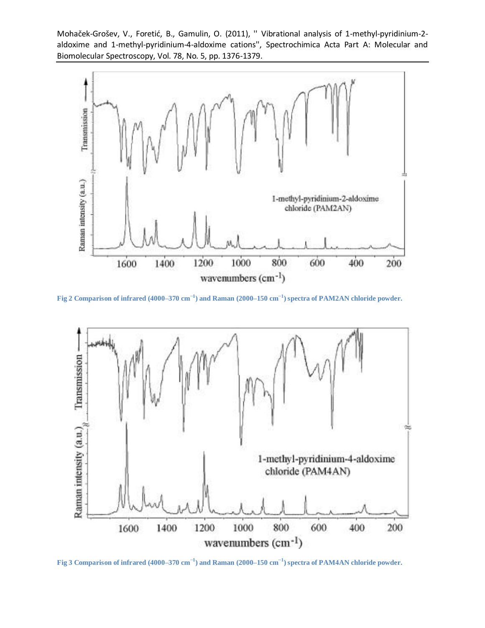

**Fig 2 Comparison of infrared (4000–370 cm−1 ) and Raman (2000–150 cm−1 ) spectra of PAM2AN chloride powder.**



**Fig 3 Comparison of infrared (4000–370 cm−1 ) and Raman (2000–150 cm−1 ) spectra of PAM4AN chloride powder.**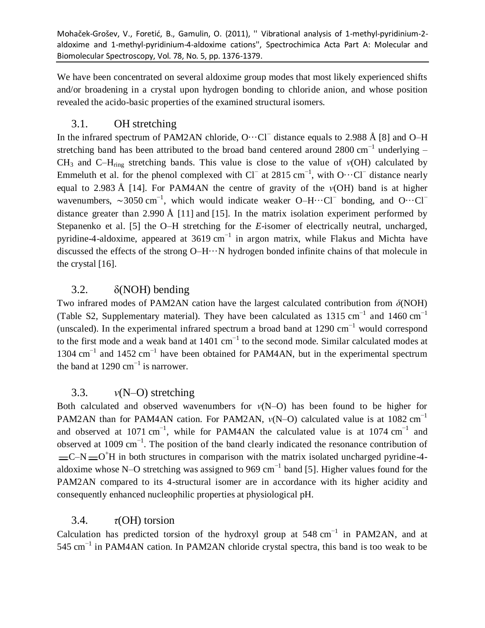We have been concentrated on several aldoxime group modes that most likely experienced shifts and/or broadening in a crystal upon hydrogen bonding to chloride anion, and whose position revealed the acido-basic properties of the examined structural isomers.

# 3.1. OH stretching

In the infrared spectrum of PAM2AN chloride, O…Cl<sup>−</sup> distance equals to 2.988 Å [8] and O–H stretching band has been attributed to the broad band centered around 2800 cm<sup>-1</sup> underlying –  $CH_3$  and  $C-H_{ring}$  stretching bands. This value is close to the value of  $v(OH)$  calculated by Emmeluth et al. for the phenol complexed with  $Cl^-$  at 2815 cm<sup>-1</sup>, with  $O \cdots Cl^-$  distance nearly equal to 2.983 Å [14]. For PAM4AN the centre of gravity of the *ν*(OH) band is at higher wavenumbers,  $\sim$ 3050 cm<sup>-1</sup>, which would indicate weaker O–H…Cl<sup>−</sup> bonding, and O…Cl<sup>−</sup> distance greater than 2.990 Å [11] and [15]. In the matrix isolation experiment performed by Stepanenko et al. [5] the O–H stretching for the *E*-isomer of electrically neutral, uncharged, pyridine-4-aldoxime, appeared at 3619 cm<sup>-1</sup> in argon matrix, while Flakus and Michta have discussed the effects of the strong O–H···N hydrogen bonded infinite chains of that molecule in the crystal [16].

# 3.2. δ(NOH) bending

Two infrared modes of PAM2AN cation have the largest calculated contribution from *δ*(NOH) (Table S2, Supplementary material). They have been calculated as 1315 cm<sup>-1</sup> and 1460 cm<sup>-1</sup> (unscaled). In the experimental infrared spectrum a broad band at  $1290 \text{ cm}^{-1}$  would correspond to the first mode and a weak band at  $1401 \text{ cm}^{-1}$  to the second mode. Similar calculated modes at 1304 cm<sup>-1</sup> and 1452 cm<sup>-1</sup> have been obtained for PAM4AN, but in the experimental spectrum the band at 1290  $\text{cm}^{-1}$  is narrower.

# 3.3. *ν*(N–O) stretching

Both calculated and observed wavenumbers for  $v(N-O)$  has been found to be higher for PAM2AN than for PAM4AN cation. For PAM2AN, *v*(N–O) calculated value is at 1082 cm<sup>-1</sup> and observed at 1071 cm<sup>-1</sup>, while for PAM4AN the calculated value is at 1074 cm<sup>-1</sup> and observed at 1009 cm<sup>-1</sup>. The position of the band clearly indicated the resonance contribution of  $C-N = O<sup>+</sup>H$  in both structures in comparison with the matrix isolated uncharged pyridine-4aldoxime whose N–O stretching was assigned to 969 cm<sup>-1</sup> band [5]. Higher values found for the PAM2AN compared to its 4-structural isomer are in accordance with its higher acidity and consequently enhanced nucleophilic properties at physiological pH.

# 3.4. *τ*(OH) torsion

Calculation has predicted torsion of the hydroxyl group at 548 cm<sup>-1</sup> in PAM2AN, and at 545 cm<sup>-1</sup> in PAM4AN cation. In PAM2AN chloride crystal spectra, this band is too weak to be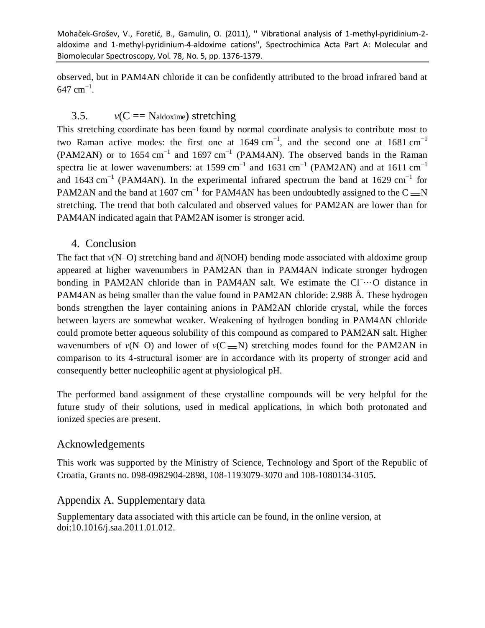observed, but in PAM4AN chloride it can be confidently attributed to the broad infrared band at  $647$  cm<sup>-1</sup>.

## 3.5.  $v(C == \text{Naldoxime})$  stretching

This stretching coordinate has been found by normal coordinate analysis to contribute most to two Raman active modes: the first one at  $1649 \text{ cm}^{-1}$ , and the second one at  $1681 \text{ cm}^{-1}$ (PAM2AN) or to 1654 cm<sup>-1</sup> and 1697 cm<sup>-1</sup> (PAM4AN). The observed bands in the Raman spectra lie at lower wavenumbers: at 1599 cm<sup>-1</sup> and 1631 cm<sup>-1</sup> (PAM2AN) and at 1611 cm<sup>-1</sup> and 1643 cm<sup>-1</sup> (PAM4AN). In the experimental infrared spectrum the band at 1629 cm<sup>-1</sup> for PAM2AN and the band at 1607 cm<sup>-1</sup> for PAM4AN has been undoubtedly assigned to the C  $=$ N stretching. The trend that both calculated and observed values for PAM2AN are lower than for PAM4AN indicated again that PAM2AN isomer is stronger acid.

#### 4. Conclusion

The fact that *ν*(N–O) stretching band and *δ*(NOH) bending mode associated with aldoxime group appeared at higher wavenumbers in PAM2AN than in PAM4AN indicate stronger hydrogen bonding in PAM2AN chloride than in PAM4AN salt. We estimate the Cl<sup>−</sup>…O distance in PAM4AN as being smaller than the value found in PAM2AN chloride: 2.988 Å. These hydrogen bonds strengthen the layer containing anions in PAM2AN chloride crystal, while the forces between layers are somewhat weaker. Weakening of hydrogen bonding in PAM4AN chloride could promote better aqueous solubility of this compound as compared to PAM2AN salt. Higher wavenumbers of  $v(N-0)$  and lower of  $v(C=N)$  stretching modes found for the PAM2AN in comparison to its 4-structural isomer are in accordance with its property of stronger acid and consequently better nucleophilic agent at physiological pH.

The performed band assignment of these crystalline compounds will be very helpful for the future study of their solutions, used in medical applications, in which both protonated and ionized species are present.

#### Acknowledgements

This work was supported by the Ministry of Science, Technology and Sport of the Republic of Croatia, Grants no. 098-0982904-2898, 108-1193079-3070 and 108-1080134-3105.

#### Appendix A. Supplementary data

Supplementary data associated with this article can be found, in the online version, at doi:10.1016/j.saa.2011.01.012.